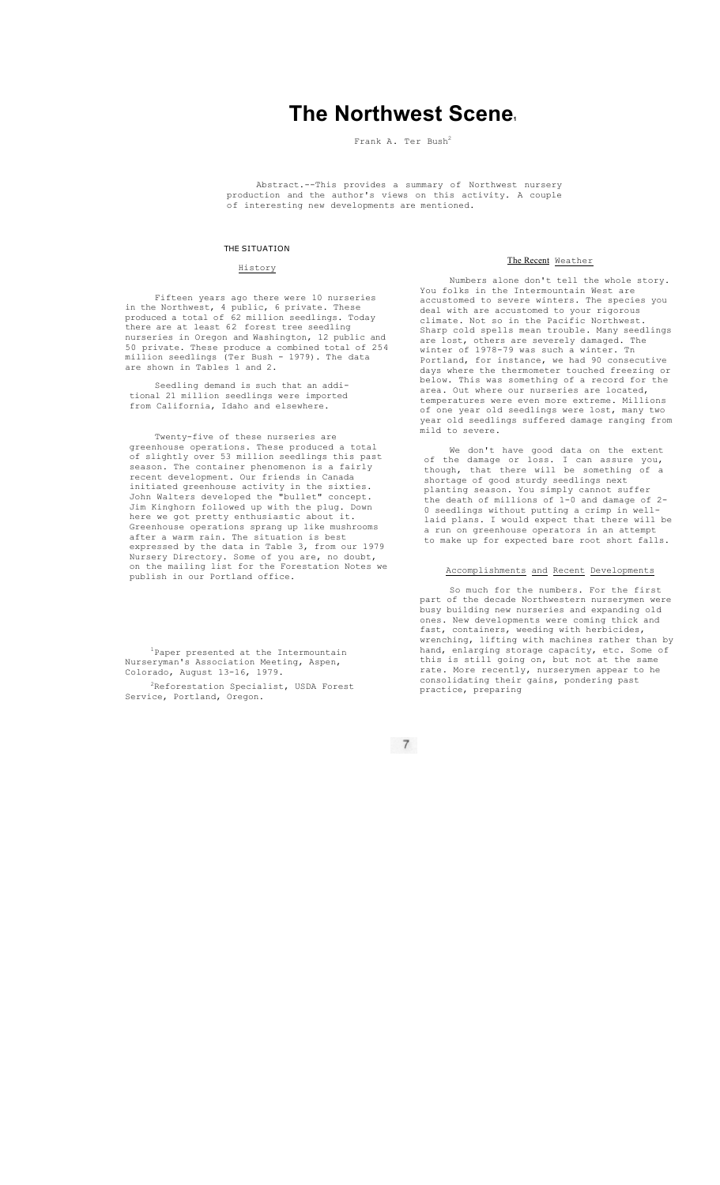# **The Northwest Scene1**

Frank A. Ter Bush<sup>2</sup>

Abstract.--This provides a summary of Northwest nursery production and the author's views on this activity. A couple .<br>of interesting new developments are mentioned.

## THE SITUATION

#### History

Fifteen years ago there were 10 nurseries in the Northwest, 4 public, 6 private. These produced a total of 62 million seedlings. Today there are at least 62 forest tree seedling nurseries in Oregon and Washington, 12 public and<br>50 private. These produce a combined total of 254 50 private. These produce a combined total of 254 million seedlings (Ter Bush - 1979). The data are shown in Tables 1 and 2.

Seedling demand is such that an additional 21 million seedlings were imported from California, Idaho and elsewhere.

Twenty-five of these nurseries are greenhouse operations. These produced a total of slightly over 53 million seedlings this past season. The container phenomenon is a fairly recent development. Our friends in Canada initiated greenhouse activity in the sixties. John Walters developed the "bullet" concept. Jim Kinghorn followed up with the plug. Down here we got pretty enthusiastic about it. Greenhouse operations sprang up like mushrooms after a warm rain. The situation is best expressed by the data in Table 3, from our 1979 Nursery Directory. Some of you are, no doubt, on the mailing list for the Forestation Notes we publish in our Portland office.

<sup>1</sup>Paper presented at the Intermountain Nurseryman's Association Meeting, Aspen, Colorado, August 13-16, 1979.

<sup>2</sup>Reforestation Specialist, USDA Forest Service, Portland, Oregon.

## The Recent Weather

Numbers alone don't tell the whole story. You folks in the Intermountain West are accustomed to severe winters. The species you deal with are accustomed to your rigorous climate. Not so in the Pacific Northwest. Sharp cold spells mean trouble. Many seedlings are lost, others are severely damaged. The winter of 1978-79 was such a winter. Tn winter of 1970 79 was sach a winter. In<br>Portland, for instance, we had 90 consecutive days where the thermometer touched freezing or below. This was something of a record for the area. Out where our nurseries are located, temperatures were even more extreme. Millions of one year old seedlings were lost, many two year old seedlings suffered damage ranging from mild to severe.

We don't have good data on the extent of the damage or loss. I can assure you, though, that there will be something of a shortage of good sturdy seedlings next planting season. You simply cannot suffer the death of millions of 1-0 and damage of 2- 0 seedlings without putting a crimp in welllaid plans. I would expect that there will be a run on greenhouse operators in an attempt to make up for expected bare root short falls.

Accomplishments and Recent Developments

So much for the numbers. For the first part of the decade Northwestern nurserymen were busy building new nurseries and expanding old ones. New developments were coming thick and fast, containers, weeding with herbicides,<br>wrenching, lifting with machines rather than by wrenching, lifting with machines rather hand, enlarging storage capacity, etc. Some of this is still going on, but not at the same rate. More recently, nurserymen appear to he consolidating their gains, pondering past practice, preparing

 $\begin{array}{c} 7 \end{array}$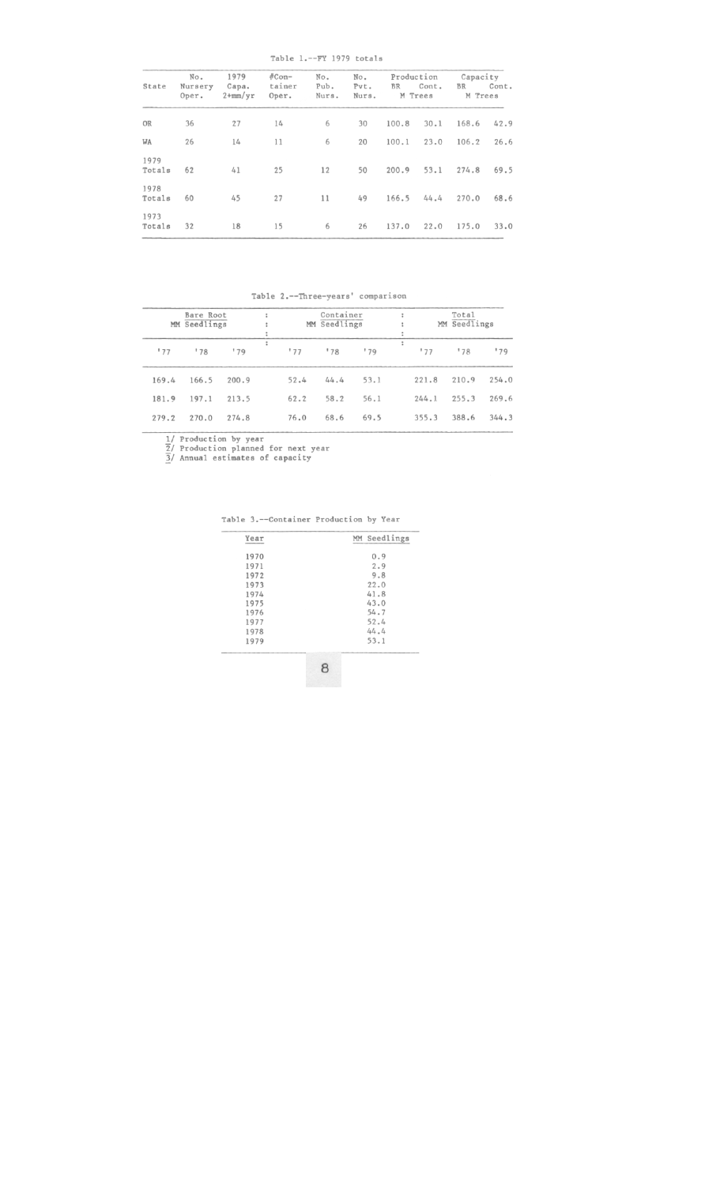Table 1.--FY 1979 totals

| State          | No.<br>Nursery | 1979<br>Capa. | $#Con-$<br>tainer | No.<br>Pub. | No.<br>Pvt. | Production<br><b>BR</b> | Cont.   | Capacity<br>BR | Cont. |  |
|----------------|----------------|---------------|-------------------|-------------|-------------|-------------------------|---------|----------------|-------|--|
|                | Oper.          | $2+mm/yr$     | Oper.             | Nurs.       | Nurs.       |                         | M Trees | M Trees        |       |  |
| OR             | 36             | 27            | 14                | 6           | 30          | 100.8                   | 30.1    | 168.6          | 42.9  |  |
| WA             | 26             | 14            | 11                | 6           | 20          | 100.1                   | 23.0    | 106.2          | 26.6  |  |
| 1979<br>Totals | 62             | 41            | 25                | 12          | 50          | 200.9                   | 53.1    | 274.8          | 69.5  |  |
| 1978<br>Totals | 60             | 45            | 27                | 11          | 49          | 166.5                   | 44.4    | 270.0          | 68.6  |  |
| 1973<br>Totals | 32             | 18            | 15                | 6           | 26          | 137.0                   | 22.0    | 175.0          | 33.0  |  |

Table 2.--Three-years' comparison

|       | Bare Root<br>Seedlings<br>MM |       | Container<br>MM Seedlings |      |      | Total<br>÷<br>MM Seedlings |          |       |       |
|-------|------------------------------|-------|---------------------------|------|------|----------------------------|----------|-------|-------|
| 177   | '78                          | 179   | $\ddot{\phantom{a}}$      | 177  | '78  | 179                        | :<br>'77 | 178   | 179   |
| 169.4 | 166.5                        | 200.9 |                           | 52.4 | 44.4 | 53.1                       | 221.8    | 210.9 | 254.0 |
| 181.9 | 197.1                        | 213.5 |                           | 62.2 | 58.2 | 56.1                       | 244.1    | 255.3 | 269.6 |
| 279.2 | 270.0                        | 274.8 |                           | 76.0 | 68.6 | 69.5                       | 355.3    | 388.6 | 344.3 |

1/ Production by year<br>  $\frac{7}{2}$ / Production planned for next year<br>  $\frac{3}{2}$ / Annual estimates of capacity

Table 3.--Container Production by Year

| Year | MM Seedlings |
|------|--------------|
| 1970 | 0.9          |
| 1971 | 2.9          |
| 1972 | 9.8          |
| 1973 | 22.0         |
| 1974 | 41.8         |
| 1975 | 43.0         |
| 1976 | 54.7         |
| 1977 | 52.4         |
| 1978 | 44.4         |
| 1979 | 53.1         |